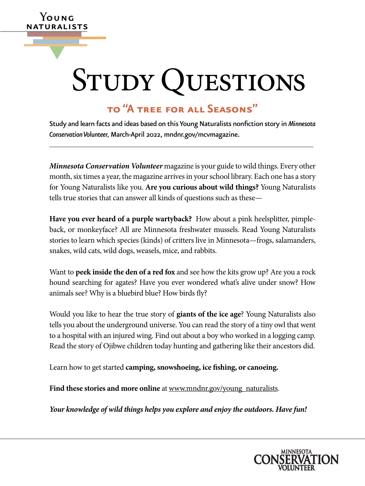# STUDY QUESTIONS

# **to "A tree for all Seasons"**

**Y**oung naturalists

▼

Study and learn facts and ideas based on this Young Naturalists nonfiction story in *Minnesota Conservation Volunteer,* March-April 2022, [mndnr.gov/mcvmagazine.](http://www.mndnr.gov/mcvmagazine)

*Minnesota Conservation Volunteer* magazine is your guide to wild things. Every other month, six times a year, the magazine arrives in your school library. Each one has a story for Young Naturalists like you. **Are you curious about wild things?** Young Naturalists tells true stories that can answer all kinds of questions such as these—

**Have you ever heard of a purple wartyback?** How about a pink heelsplitter, pimpleback, or monkeyface? All are Minnesota freshwater mussels. Read Young Naturalists stories to learn which species (kinds) of critters live in Minnesota—frogs, salamanders, snakes, wild cats, wild dogs, weasels, mice, and rabbits.

Want to **peek inside the den of a red fox** and see how the kits grow up? Are you a rock hound searching for agates? Have you ever wondered what's alive under snow? How animals see? Why is a bluebird blue? How birds fly?

Would you like to hear the true story of **giants of the ice age**? Young Naturalists also tells you about the underground universe. You can read the story of a tiny owl that went to a hospital with an injured wing. Find out about a boy who worked in a logging camp. Read the story of Ojibwe children today hunting and gathering like their ancestors did.

Learn how to get started **camping, snowshoeing, ice fishing, or canoeing.**

Find these stories and more online at [www.mndnr.gov/young\\_naturalists](http://www.dnr.state.mn.us/mcvmagazine/young-naturalists.html).

*Your knowledge of wild things helps you explore and enjoy the outdoors. Have fun!*

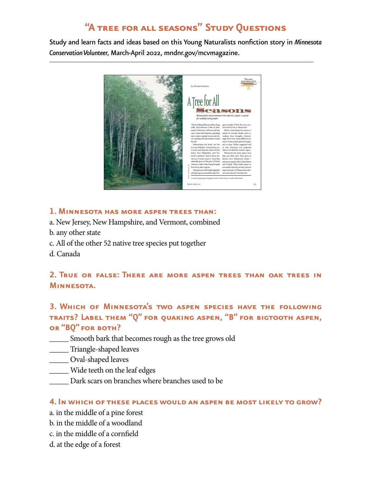# **"A tree for all seasons" Study Questions**

Study and learn facts and ideas based on this Young Naturalists nonfiction story in *Minnesota Conservation Volunteer,* March-April 2022, [mndnr.gov/mcvmagazine.](http://www.mndnr.gov/mcvmagazine)



#### **1. Minnesota has more aspen trees than:**

- a. New Jersey, New Hampshire, and Vermont, combined
- b. any other state
- c. All of the other 52 native tree species put together
- d. Canada

## **2. True or false: There are more aspen trees than oak trees in Minnesota.**

## **3. Which of Minnesota's two aspen species have the following traits? Label them "Q" for quaking aspen, "B" for bigtooth aspen, or "BQ" for both?**

- \_\_\_\_\_ Smooth bark that becomes rough as the tree grows old
- \_\_\_\_\_ Triangle-shaped leaves
- \_\_\_\_\_ Oval-shaped leaves
- \_\_\_\_\_ Wide teeth on the leaf edges
- \_\_\_\_\_ Dark scars on branches where branches used to be

#### **4. In which of these places would an aspen be most likely to grow?**

- a. in the middle of a pine forest
- b. in the middle of a woodland
- c. in the middle of a cornfield
- d. at the edge of a forest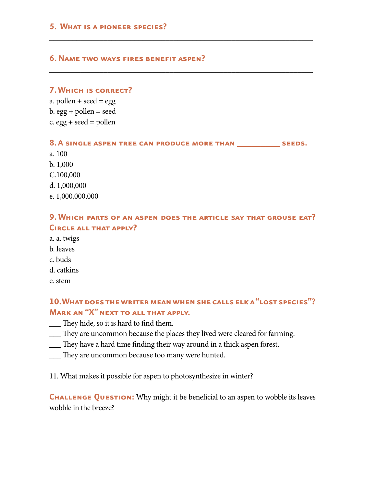#### **5. What is a pioneer species?**

#### **6. Name two ways fires benefit aspen?**

#### **7. Which is correct?**

a. pollen + seed =  $egg$ b.  $egg + pollen = seed$ c.  $egg + seed = pollen$ 

**8. A single aspen tree can produce more than \_\_\_\_\_\_\_\_\_ seeds.**

\_\_\_\_\_\_\_\_\_\_\_\_\_\_\_\_\_\_\_\_\_\_\_\_\_\_\_\_\_\_\_\_\_\_\_\_\_\_\_\_\_\_\_\_\_\_\_\_\_\_\_\_\_\_\_\_\_\_\_\_\_\_\_\_\_\_\_\_

\_\_\_\_\_\_\_\_\_\_\_\_\_\_\_\_\_\_\_\_\_\_\_\_\_\_\_\_\_\_\_\_\_\_\_\_\_\_\_\_\_\_\_\_\_\_\_\_\_\_\_\_\_\_\_\_\_\_\_\_\_\_\_\_\_\_\_\_

a. 100 b. 1,000 C.100,000 d. 1,000,000 e. 1,000,000,000

### **9. Which parts of an aspen does the article say that grouse eat? Circle all that apply?**

- a. a. twigs b. leaves
- c. buds
- d. catkins
- e. stem

**10. What does the writer mean when she calls elk a "lost species"? Mark an "X" next to all that apply.**

- \_\_\_ They hide, so it is hard to find them.
- \_\_\_ They are uncommon because the places they lived were cleared for farming.
- \_\_\_ They have a hard time finding their way around in a thick aspen forest.
- \_\_\_ They are uncommon because too many were hunted.

11. What makes it possible for aspen to photosynthesize in winter?

**CHALLENGE QUESTION:** Why might it be beneficial to an aspen to wobble its leaves wobble in the breeze?